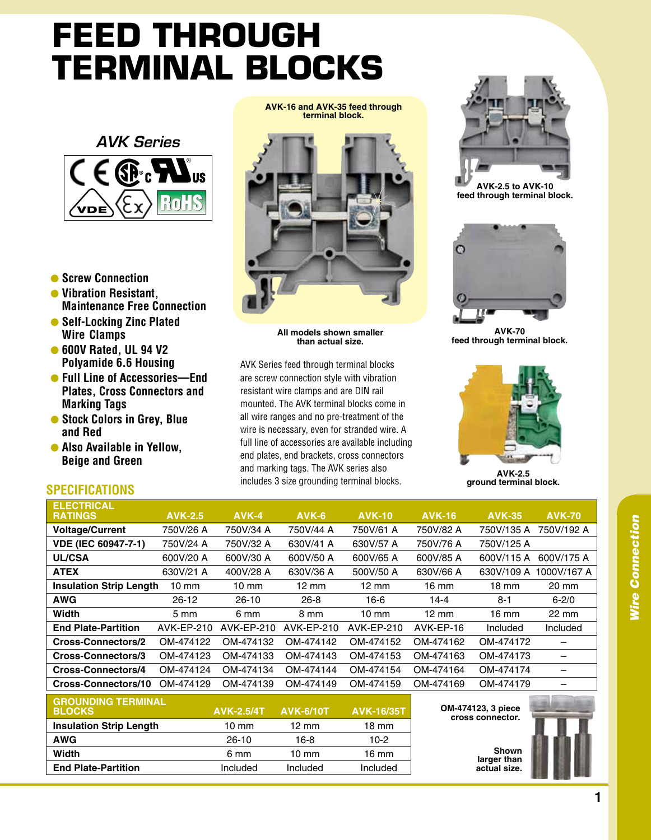## **Feed Through Terminal Blocks**



- l **Screw Connection**
- l **Vibration Resistant, Maintenance Free Connection**
- **Self-Locking Zinc Plated Wire Clamps**
- 600V Rated, UL 94 V2 **Polyamide 6.6 Housing**
- l **Full Line of Accessories—End Plates, Cross Connectors and Marking Tags**
- $\bullet$  **Stock Colors in Grey, Blue and Red**
- **Also Available in Yellow, Beige and Green**

**AVK-16 and AVK-35 feed through terminal block.**



**All models shown smaller than actual size.**

AVK Series feed through terminal blocks are screw connection style with vibration resistant wire clamps and are DIN rail mounted. The AVK terminal blocks come in all wire ranges and no pre-treatment of the wire is necessary, even for stranded wire. A full line of accessories are available including end plates, end brackets, cross connectors and marking tags. The AVK series also includes 3 size grounding terminal blocks.



**AVK-2.5 to AVK-10 feed through terminal block.**



**AVK-70 feed through terminal block.**



**AVK-2.5 ground terminal block.**

## **SPECIFICATIONS**

| <b>ELECTRICAL</b>              |                  |            |                 |                 |                 |                 |                 |
|--------------------------------|------------------|------------|-----------------|-----------------|-----------------|-----------------|-----------------|
| <b>RATINGS</b>                 | <b>AVK-2.5</b>   | AVK-4      | AVK-6           | <b>AVK-10</b>   | <b>AVK-16</b>   | <b>AVK-35</b>   | <b>AVK-70</b>   |
| <b>Voltage/Current</b>         | 750V/26 A        | 750V/34 A  | 750V/44 A       | 750V/61 A       | 750V/82 A       | 750V/135 A      | 750V/192 A      |
| <b>VDE (IEC 60947-7-1)</b>     | 750V/24 A        | 750V/32 A  | 630V/41 A       | 630V/57 A       | 750V/76 A       | 750V/125 A      |                 |
| <b>UL/CSA</b>                  | 600V/20 A        | 600V/30 A  | 600V/50 A       | 600V/65 A       | 600V/85 A       | 600V/115 A      | 600V/175 A      |
| <b>ATEX</b>                    | 630V/21 A        | 400V/28 A  | 630V/36 A       | 500V/50 A       | 630V/66 A       | 630V/109 A      | 1000V/167 A     |
| <b>Insulation Strip Length</b> | $10 \text{ mm}$  | 10 mm      | $12 \text{ mm}$ | $12 \text{ mm}$ | $16 \text{ mm}$ | $18 \text{ mm}$ | 20 mm           |
| <b>AWG</b>                     | $26 - 12$        | $26 - 10$  | $26 - 8$        | $16-6$          | $14 - 4$        | $8 - 1$         | $6 - 2/0$       |
| Width                          | $5 \, \text{mm}$ | 6 mm       | 8 mm            | $10 \text{ mm}$ | $12 \text{ mm}$ | $16 \text{ mm}$ | $22 \text{ mm}$ |
| <b>End Plate-Partition</b>     | AVK-EP-210       | AVK-EP-210 | AVK-EP-210      | AVK-EP-210      | AVK-EP-16       | Included        | Included        |
| <b>Cross-Connectors/2</b>      | OM-474122        | OM-474132  | OM-474142       | OM-474152       | OM-474162       | OM-474172       |                 |
| Cross-Connectors/3             | OM-474123        | OM-474133  | OM-474143       | OM-474153       | OM-474163       | OM-474173       |                 |
| <b>Cross-Connectors/4</b>      | OM-474124        | OM-474134  | OM-474144       | OM-474154       | OM-474164       | OM-474174       |                 |
| Cross-Connectors/10            | OM-474129        | OM-474139  | OM-474149       | OM-474159       | OM-474169       | OM-474179       |                 |
| A B A H B B B A B              |                  |            |                 |                 |                 |                 |                 |

| <b>GROUNDING TERMINAL</b><br><b>BLOCKS</b> | <b>AVK-2.5/4T</b> | <b>AVK-6/10T</b> | <b>AVK-16/35T</b> |
|--------------------------------------------|-------------------|------------------|-------------------|
| <b>Insulation Strip Length</b>             | 10 mm             | 12 mm            | 18 mm             |
| AWG                                        | $26-10$           | 16-8             | 10-2              |
| Width                                      | 6 mm              | $10 \text{ mm}$  | 16 mm             |
| <b>End Plate-Partition</b>                 | Included          | Included         | Included          |